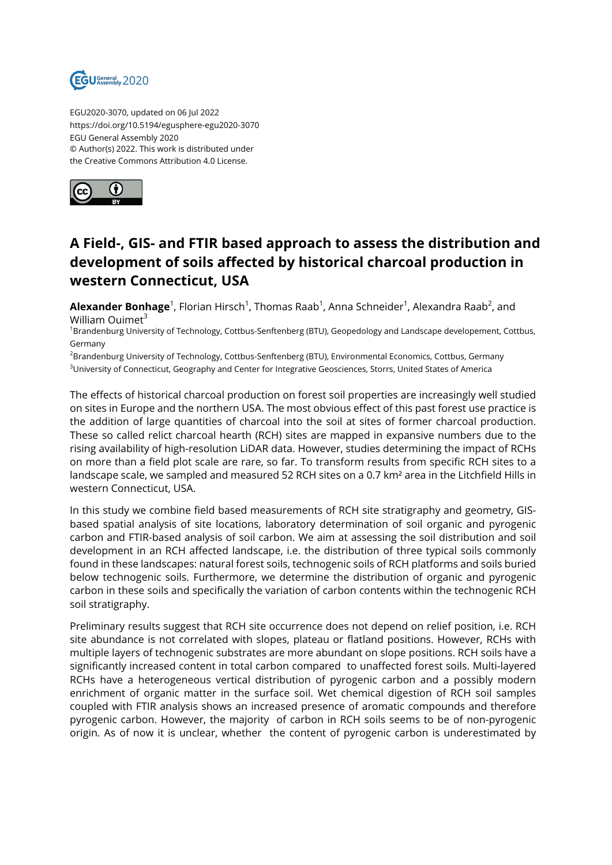

EGU2020-3070, updated on 06 Jul 2022 https://doi.org/10.5194/egusphere-egu2020-3070 EGU General Assembly 2020 © Author(s) 2022. This work is distributed under the Creative Commons Attribution 4.0 License.



## **A Field-, GIS- and FTIR based approach to assess the distribution and development of soils affected by historical charcoal production in western Connecticut, USA**

**Alexander Bonhage**<sup>1</sup>, Florian Hirsch<sup>1</sup>, Thomas Raab<sup>1</sup>, Anna Schneider<sup>1</sup>, Alexandra Raab<sup>2</sup>, and William Ouimet $3$ 

<sup>1</sup>Brandenburg University of Technology, Cottbus-Senftenberg (BTU), Geopedology and Landscape developement, Cottbus, Germany

<sup>2</sup>Brandenburg University of Technology, Cottbus-Senftenberg (BTU), Environmental Economics, Cottbus, Germany <sup>3</sup>University of Connecticut, Geography and Center for Integrative Geosciences, Storrs, United States of America

The effects of historical charcoal production on forest soil properties are increasingly well studied on sites in Europe and the northern USA. The most obvious effect of this past forest use practice is the addition of large quantities of charcoal into the soil at sites of former charcoal production. These so called relict charcoal hearth (RCH) sites are mapped in expansive numbers due to the rising availability of high-resolution LiDAR data. However, studies determining the impact of RCHs on more than a field plot scale are rare, so far. To transform results from specific RCH sites to a landscape scale, we sampled and measured 52 RCH sites on a 0.7 km² area in the Litchfield Hills in western Connecticut, USA.

In this study we combine field based measurements of RCH site stratigraphy and geometry, GISbased spatial analysis of site locations, laboratory determination of soil organic and pyrogenic carbon and FTIR-based analysis of soil carbon. We aim at assessing the soil distribution and soil development in an RCH affected landscape, i.e. the distribution of three typical soils commonly found in these landscapes: natural forest soils, technogenic soils of RCH platforms and soils buried below technogenic soils. Furthermore, we determine the distribution of organic and pyrogenic carbon in these soils and specifically the variation of carbon contents within the technogenic RCH soil stratigraphy.

Preliminary results suggest that RCH site occurrence does not depend on relief position, i.e. RCH site abundance is not correlated with slopes, plateau or flatland positions. However, RCHs with multiple layers of technogenic substrates are more abundant on slope positions. RCH soils have a significantly increased content in total carbon compared to unaffected forest soils. Multi-layered RCHs have a heterogeneous vertical distribution of pyrogenic carbon and a possibly modern enrichment of organic matter in the surface soil. Wet chemical digestion of RCH soil samples coupled with FTIR analysis shows an increased presence of aromatic compounds and therefore pyrogenic carbon. However, the majority of carbon in RCH soils seems to be of non-pyrogenic origin. As of now it is unclear, whether the content of pyrogenic carbon is underestimated by